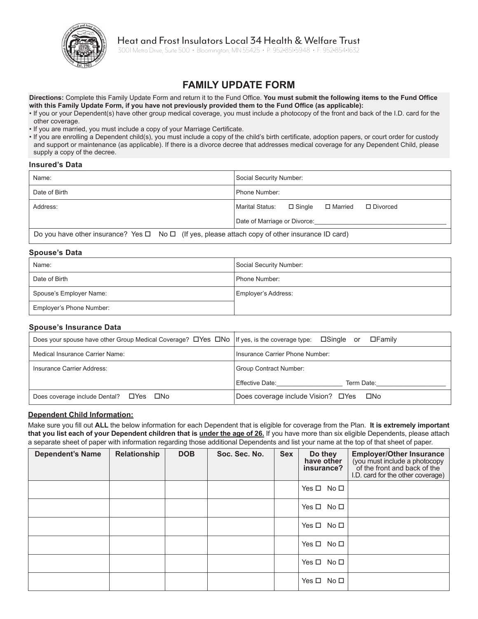

# Heat and Frost Insulators Local 34 Health & Welfare Trust

3001 Metro Drive, Suite 500 • Bloomington, MN 55425 • P: 952•851•5948 • F: 952•854•1632

# **FAMILY UPDATE FORM**

**Directions:** Complete this Family Update Form and return it to the Fund Office. **You must submit the following items to the Fund Office with this Family Update Form, if you have not previously provided them to the Fund Office (as applicable):**

- If you or your Dependent(s) have other group medical coverage, you must include a photocopy of the front and back of the I.D. card for the other coverage.
- If you are married, you must include a copy of your Marriage Certificate.

• If you are enrolling a Dependent child(s), you must include a copy of the child's birth certificate, adoption papers, or court order for custody and support or maintenance (as applicable). If there is a divorce decree that addresses medical coverage for any Dependent Child, please supply a copy of the decree.

#### **Insured's Data**

| Name:                                                                                                                           | Social Security Number:                       |  |  |  |
|---------------------------------------------------------------------------------------------------------------------------------|-----------------------------------------------|--|--|--|
| Date of Birth                                                                                                                   | Phone Number:                                 |  |  |  |
| Address:                                                                                                                        | Marital Status: □ Single □ Married □ Divorced |  |  |  |
|                                                                                                                                 | Date of Marriage or Divorce:                  |  |  |  |
| $\Box$ On the contract solution incurrence description $\Box$ and $\Box$ and $\Box$ and $\Box$ and $\Box$ and $\Box$ and $\Box$ |                                               |  |  |  |

Do you have other insurance? Yes  $\Box$  No  $\Box$  (If yes, please attach copy of other insurance ID card)

### **Spouse's Data**

| Name:                    | Social Security Number: |
|--------------------------|-------------------------|
| Date of Birth            | Phone Number:           |
| Spouse's Employer Name:  | Employer's Address:     |
| Employer's Phone Number: |                         |

### **Spouse's Insurance Data**

| Does your spouse have other Group Medical Coverage? DYes DNo If yes, is the coverage type: DSingle or | $\square$ Familv                         |  |  |  |
|-------------------------------------------------------------------------------------------------------|------------------------------------------|--|--|--|
| Medical Insurance Carrier Name:                                                                       | Insurance Carrier Phone Number:          |  |  |  |
| Insurance Carrier Address:                                                                            | Group Contract Number:                   |  |  |  |
|                                                                                                       | Effective Date:<br>Term Date:            |  |  |  |
| Does coverage include Dental? $\Box$ Yes<br>□No                                                       | Does coverage include Vision? □ Yes □ No |  |  |  |

### **Dependent Child Information:**

Make sure you fill out **ALL** the below information for each Dependent that is eligible for coverage from the Plan. **It is extremely important that you list each of your Dependent children that is under the age of 26.** If you have more than six eligible Dependents, please attach a separate sheet of paper with information regarding those additional Dependents and list your name at the top of that sheet of paper.

| <b>Dependent's Name</b> | Relationship | <b>DOB</b> | Soc. Sec. No. | <b>Sex</b> | Do they<br>have other<br>insurance? | <b>Employer/Other Insurance</b><br>(you must include a photocopy<br>of the front and back of the<br>I.D. card for the other coverage) |
|-------------------------|--------------|------------|---------------|------------|-------------------------------------|---------------------------------------------------------------------------------------------------------------------------------------|
|                         |              |            |               |            | Yes $\Box$ No $\Box$                |                                                                                                                                       |
|                         |              |            |               |            | Yes $\Box$ No $\Box$                |                                                                                                                                       |
|                         |              |            |               |            | Yes $\square$ No $\square$          |                                                                                                                                       |
|                         |              |            |               |            | Yes $\square$ No $\square$          |                                                                                                                                       |
|                         |              |            |               |            | Yes $\Box$ No $\Box$                |                                                                                                                                       |
|                         |              |            |               |            | Yes □ No □                          |                                                                                                                                       |